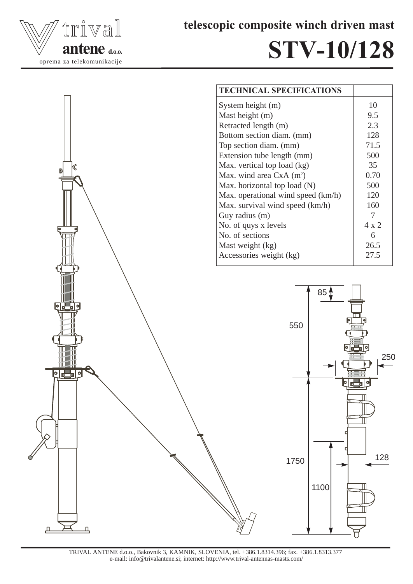

telescopic composite winch driven mast

## STV-10/128



TRIVAL ANTENE d.o.o., Bakovnik 3, KAMNIK, SLOVENIA, tel. +386.1.8314.396; fax. +386.1.8313.377 e-mail: info@trivalantene.si; internet: http://www.trival-antennas-masts.com/